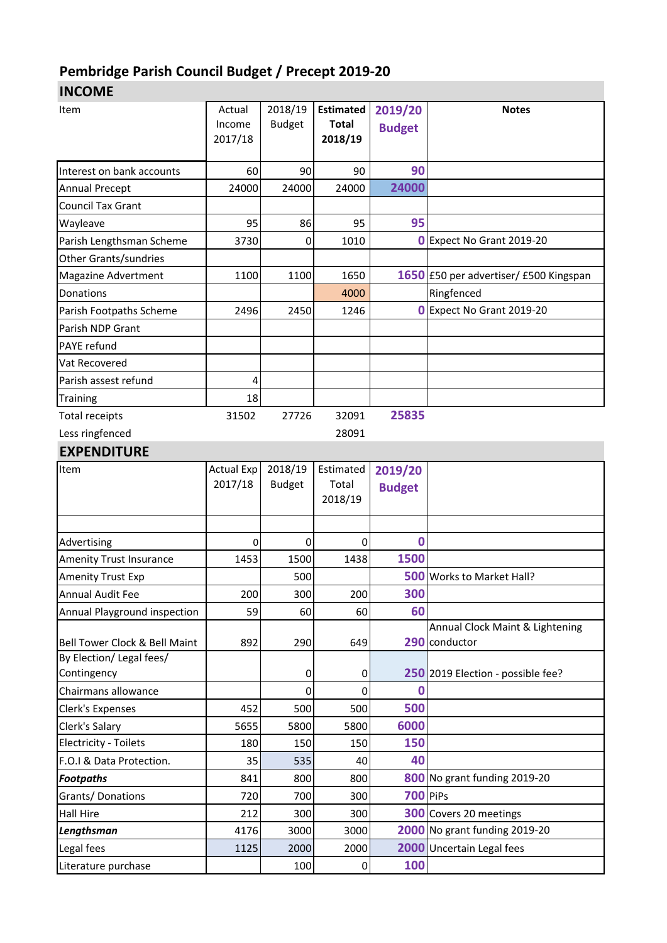## **Pembridge Parish Council Budget / Precept 2019-20**

**INCOME**

| Item                           | Actual     | 2018/19       | <b>Estimated</b> | 2019/20         | <b>Notes</b>                           |  |  |
|--------------------------------|------------|---------------|------------------|-----------------|----------------------------------------|--|--|
|                                | Income     | <b>Budget</b> | <b>Total</b>     | <b>Budget</b>   |                                        |  |  |
|                                | 2017/18    |               | 2018/19          |                 |                                        |  |  |
|                                |            |               |                  | 90              |                                        |  |  |
| Interest on bank accounts      | 60         | 90            | 90               |                 |                                        |  |  |
| <b>Annual Precept</b>          | 24000      | 24000         | 24000            | 24000           |                                        |  |  |
| <b>Council Tax Grant</b>       |            |               |                  |                 |                                        |  |  |
| Wayleave                       | 95         | 86            | 95               | 95              |                                        |  |  |
| Parish Lengthsman Scheme       | 3730       | 0             | 1010             |                 | O Expect No Grant 2019-20              |  |  |
| Other Grants/sundries          |            |               |                  |                 |                                        |  |  |
| <b>Magazine Advertment</b>     | 1100       | 1100          | 1650             |                 | 1650 £50 per advertiser/ £500 Kingspan |  |  |
| Donations                      |            |               | 4000             |                 | Ringfenced                             |  |  |
| Parish Footpaths Scheme        | 2496       | 2450          | 1246             |                 | O Expect No Grant 2019-20              |  |  |
| Parish NDP Grant               |            |               |                  |                 |                                        |  |  |
| <b>PAYE</b> refund             |            |               |                  |                 |                                        |  |  |
| Vat Recovered                  |            |               |                  |                 |                                        |  |  |
| Parish assest refund           | 4          |               |                  |                 |                                        |  |  |
| <b>Training</b>                | 18         |               |                  |                 |                                        |  |  |
| <b>Total receipts</b>          | 31502      | 27726         | 32091            | 25835           |                                        |  |  |
| Less ringfenced                |            |               | 28091            |                 |                                        |  |  |
| <b>EXPENDITURE</b>             |            |               |                  |                 |                                        |  |  |
| Item                           | Actual Exp | 2018/19       | Estimated        | 2019/20         |                                        |  |  |
|                                | 2017/18    | <b>Budget</b> | Total            | <b>Budget</b>   |                                        |  |  |
|                                |            |               | 2018/19          |                 |                                        |  |  |
|                                |            |               |                  |                 |                                        |  |  |
| Advertising                    | 0          | 0             | 0                | 0               |                                        |  |  |
| <b>Amenity Trust Insurance</b> | 1453       | 1500          | 1438             | 1500            |                                        |  |  |
| <b>Amenity Trust Exp</b>       |            | 500           |                  |                 | 500 Works to Market Hall?              |  |  |
| <b>Annual Audit Fee</b>        | 200        | 300           | 200              | 300             |                                        |  |  |
| Annual Playground inspection   | 59         | 60            | 60               | 60              |                                        |  |  |
|                                |            |               |                  |                 | Annual Clock Maint & Lightening        |  |  |
| Bell Tower Clock & Bell Maint  | 892        | 290           | 649              |                 | 290 conductor                          |  |  |
| By Election/ Legal fees/       |            |               |                  |                 |                                        |  |  |
| Contingency                    |            | $\pmb{0}$     | 0                |                 | 250 2019 Election - possible fee?      |  |  |
| Chairmans allowance            |            | 0             | 0                | 0               |                                        |  |  |
| Clerk's Expenses               | 452        | 500           | 500              | 500             |                                        |  |  |
| Clerk's Salary                 | 5655       | 5800          | 5800             | 6000            |                                        |  |  |
| <b>Electricity - Toilets</b>   | 180        | 150           | 150              | 150             |                                        |  |  |
| F.O.I & Data Protection.       | 35         | 535           | 40               | 40              |                                        |  |  |
| <b>Footpaths</b>               | 841        | 800           | 800              |                 | 800 No grant funding 2019-20           |  |  |
| Grants/Donations               | 720        | 700           | 300              | <b>700 PiPs</b> |                                        |  |  |
| <b>Hall Hire</b>               | 212        | 300           | 300              |                 | <b>300</b> Covers 20 meetings          |  |  |
| Lengthsman                     | 4176       | 3000          | 3000             |                 | 2000 No grant funding 2019-20          |  |  |
| Legal fees                     | 1125       | 2000          | 2000             |                 | 2000 Uncertain Legal fees              |  |  |
| Literature purchase            |            | 100           | 0                | 100             |                                        |  |  |
|                                |            |               |                  |                 |                                        |  |  |